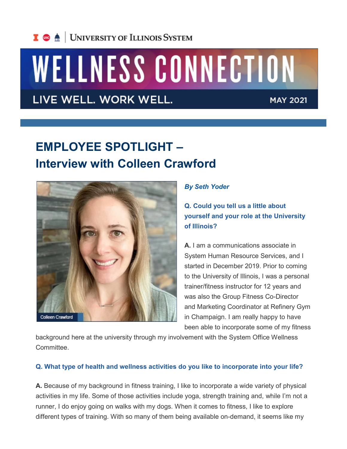

# WELLNESS CONNECTION

### LIVE WELL. WORK WELL.

**MAY 2021** 

## **EMPLOYEE SPOTLIGHT – Interview with Colleen Crawford**



#### *By Seth Yoder*

**Q. Could you tell us a little about yourself and your role at the University of Illinois?**

**A.** I am a communications associate in System Human Resource Services, and I started in December 2019. Prior to coming to the University of Illinois, I was a personal trainer/fitness instructor for 12 years and was also the Group Fitness Co-Director and Marketing Coordinator at Refinery Gym in Champaign. I am really happy to have been able to incorporate some of my fitness

background here at the university through my involvement with the System Office Wellness **Committee** 

#### **Q. What type of health and wellness activities do you like to incorporate into your life?**

**A.** Because of my background in fitness training, I like to incorporate a wide variety of physical activities in my life. Some of those activities include yoga, strength training and, while I'm not a runner, I do enjoy going on walks with my dogs. When it comes to fitness, I like to explore different types of training. With so many of them being available on-demand, it seems like my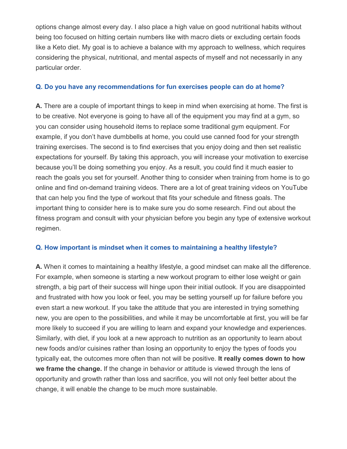options change almost every day. I also place a high value on good nutritional habits without being too focused on hitting certain numbers like with macro diets or excluding certain foods like a Keto diet. My goal is to achieve a balance with my approach to wellness, which requires considering the physical, nutritional, and mental aspects of myself and not necessarily in any particular order.

#### **Q. Do you have any recommendations for fun exercises people can do at home?**

**A.** There are a couple of important things to keep in mind when exercising at home. The first is to be creative. Not everyone is going to have all of the equipment you may find at a gym, so you can consider using household items to replace some traditional gym equipment. For example, if you don't have dumbbells at home, you could use canned food for your strength training exercises. The second is to find exercises that you enjoy doing and then set realistic expectations for yourself. By taking this approach, you will increase your motivation to exercise because you'll be doing something you enjoy. As a result, you could find it much easier to reach the goals you set for yourself. Another thing to consider when training from home is to go online and find on-demand training videos. There are a lot of great training videos on YouTube that can help you find the type of workout that fits your schedule and fitness goals. The important thing to consider here is to make sure you do some research. Find out about the fitness program and consult with your physician before you begin any type of extensive workout regimen.

#### **Q. How important is mindset when it comes to maintaining a healthy lifestyle?**

**A.** When it comes to maintaining a healthy lifestyle, a good mindset can make all the difference. For example, when someone is starting a new workout program to either lose weight or gain strength, a big part of their success will hinge upon their initial outlook. If you are disappointed and frustrated with how you look or feel, you may be setting yourself up for failure before you even start a new workout. If you take the attitude that you are interested in trying something new, you are open to the possibilities, and while it may be uncomfortable at first, you will be far more likely to succeed if you are willing to learn and expand your knowledge and experiences. Similarly, with diet, if you look at a new approach to nutrition as an opportunity to learn about new foods and/or cuisines rather than losing an opportunity to enjoy the types of foods you typically eat, the outcomes more often than not will be positive. **It really comes down to how we frame the change.** If the change in behavior or attitude is viewed through the lens of opportunity and growth rather than loss and sacrifice, you will not only feel better about the change, it will enable the change to be much more sustainable.